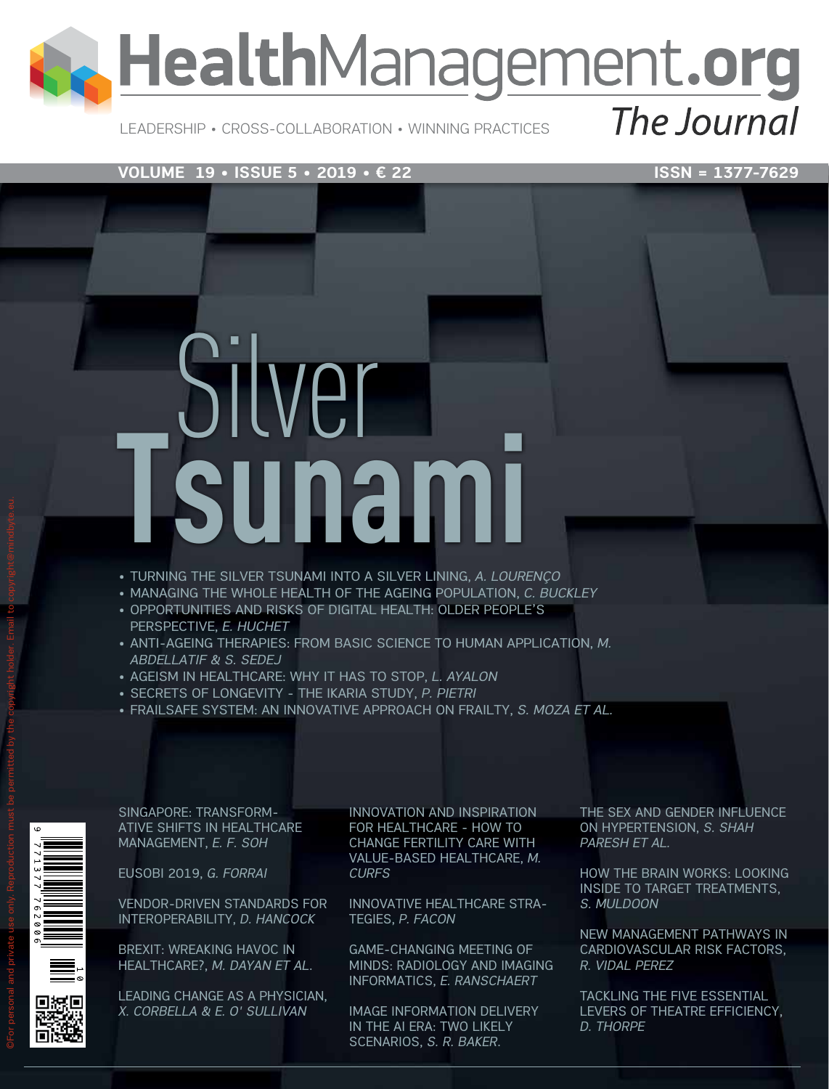## HealthManagement.org

Leadership • Cross-Collaboration • Winning Practices

The Journal

#### **VOLUME 19 • ISSUE 5 • 2019 • € 22** ISSN = 1377-7629

# Silver<br>Sunami

- • TURNING THE SILVER TSUNAMI INTO A SILVER LINING, *A. LOURENÇO*
- • MANAGING THE WHOLE HEALTH OF THE AGEING POPULATION, *C. BUCKLEY*
- OPPORTUNITIES AND RISKS OF DIGITAL HEALTH: OLDER PEOPLE'S PERSPECTIVE, *E. HUCHET*
- • ANTI-AGEING THERAPIES: FROM BASIC SCIENCE TO HUMAN APPLICATION, *M. ABDELLATIF & S. SEDEJ*
- • AGEISM IN HEALTHCARE: WHY IT HAS TO STOP, *L. AYALON*
- • SECRETS OF LONGEVITY THE IKARIA STUDY, *P. PIETRI*
- • FRAILSAFE SYSTEM: AN INNOVATIVE APPROACH ON FRAILTY, *S. MOZA ET AL.*

SINGAPORE: TRANSFORM-ATIVE SHIFTS IN HEALTHCARE MANAGEMENT, *E. F. SOH*

EUSOBI 2019, *G. FORRAI*

VENDOR-DRIVEN STANDARDS FOR INTEROPERABILITY, *D. HANCOCK*

BREXIT: WREAKING HAVOC IN HEALTHCARE?, *M. DAYAN ET AL*.

LEADING CHANGE AS A PHYSICIAN, *X. CORBELLA & E. O' SULLIVAN*

INNOVATION AND INSPIRATION FOR HEALTHCARE - HOW TO CHANGE FERTILITY CARE WITH VALUE-BASED HEALTHCARE, *M. CURFS*

INNOVATIVE HEALTHCARE STRA-TEGIES, *P. FACON*

GAME-CHANGING MEETING OF MINDS: RADIOLOGY AND IMAGING INFORMATICS, *E. RANSCHAERT*

IMAGE INFORMATION DELIVERY IN THE AI ERA: TWO LIKELY SCENARIOS, *S. R. BAKER*.

THE SEX AND GENDER INFLUENCE ON HYPERTENSION, *S. SHAH PARESH ET AL.*

HOW THE BRAIN WORKS: LOOKING INSIDE TO TARGET TREATMENTS, *S. MULDOON*

NEW MANAGEMENT PATHWAYS IN CARDIOVASCULAR RISK FACTORS, *R. VIDAL PEREZ*

TACKLING THE FIVE ESSENTIAL LEVERS OF THEATRE EFFICIENCY, *D. THORPE*

©For personal and private use only. Reproduction must be permitted by the copyright holder. Email to copyright@mindbyte.eu.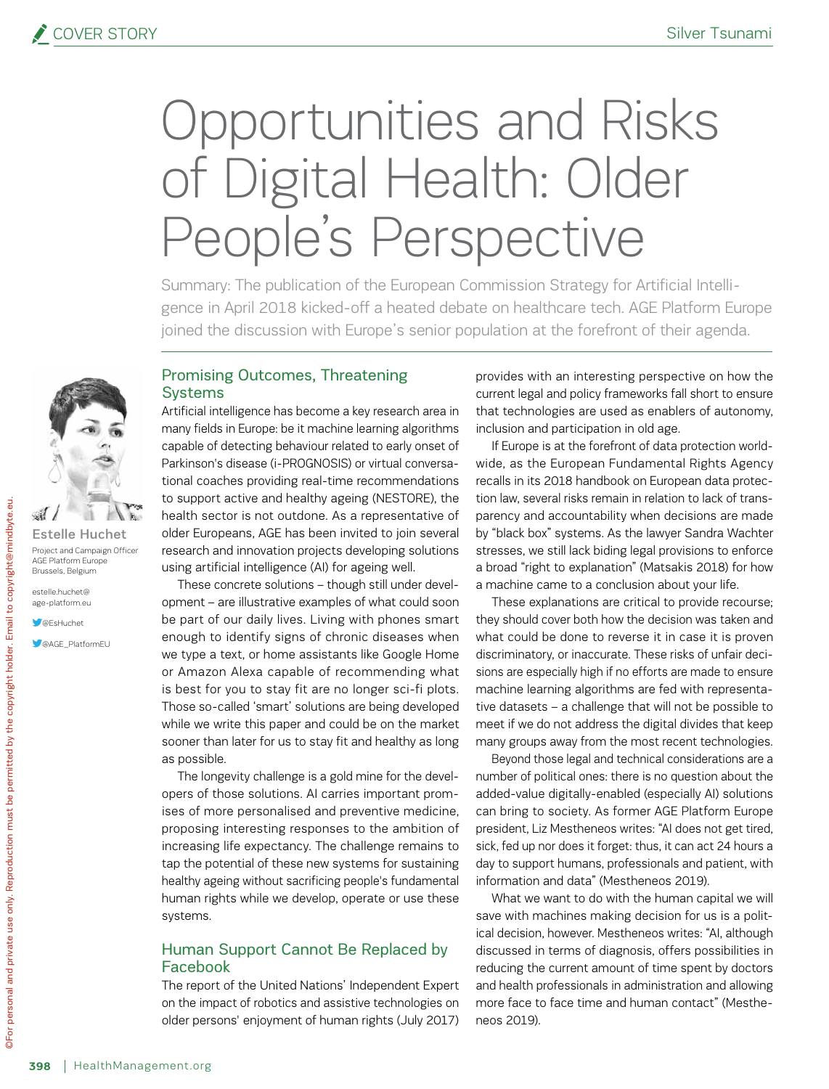### Opportunities and Risks of Digital Health: Older People's Perspective

Summary: The publication of the European Commission Strategy for Artificial Intelligence in April 2018 kicked-off a heated debate on healthcare tech. AGE Platform Europe joined the discussion with Europe's senior population at the forefront of their agenda.



Estelle Huchet Project and Campaign Officer AGE Platform Europe Brussels, Belgium

estelle.huchet@ age-platform.eu

**S**@EsHuchet

**CAGE\_PlatformEU** 

#### Promising Outcomes, Threatening **Systems**

Artificial intelligence has become a key research area in many fields in Europe: be it machine learning algorithms capable of detecting behaviour related to early onset of Parkinson's disease (i-PROGNOSIS) or virtual conversational coaches providing real-time recommendations to support active and healthy ageing (NESTORE), the health sector is not outdone. As a representative of older Europeans, AGE has been invited to join several research and innovation projects developing solutions using artificial intelligence (AI) for ageing well.

These concrete solutions – though still under development – are illustrative examples of what could soon be part of our daily lives. Living with phones smart enough to identify signs of chronic diseases when we type a text, or home assistants like Google Home or Amazon Alexa capable of recommending what is best for you to stay fit are no longer sci-fi plots. Those so-called 'smart' solutions are being developed while we write this paper and could be on the market sooner than later for us to stay fit and healthy as long as possible.

The longevity challenge is a gold mine for the developers of those solutions. AI carries important promises of more personalised and preventive medicine, proposing interesting responses to the ambition of increasing life expectancy. The challenge remains to tap the potential of these new systems for sustaining healthy ageing without sacrificing people's fundamental human rights while we develop, operate or use these systems.

#### Human Support Cannot Be Replaced by Facebook

The report of the United Nations' Independent Expert on the impact of robotics and assistive technologies on older persons' enjoyment of human rights (July 2017)

provides with an interesting perspective on how the current legal and policy frameworks fall short to ensure that technologies are used as enablers of autonomy, inclusion and participation in old age.

If Europe is at the forefront of data protection worldwide, as the European Fundamental Rights Agency recalls in its 2018 handbook on European data protection law, several risks remain in relation to lack of transparency and accountability when decisions are made by "black box" systems. As the lawyer Sandra Wachter stresses, we still lack biding legal provisions to enforce a broad "right to explanation" (Matsakis 2018) for how a machine came to a conclusion about your life.

These explanations are critical to provide recourse; they should cover both how the decision was taken and what could be done to reverse it in case it is proven discriminatory, or inaccurate. These risks of unfair decisions are especially high if no efforts are made to ensure machine learning algorithms are fed with representative datasets – a challenge that will not be possible to meet if we do not address the digital divides that keep many groups away from the most recent technologies.

Beyond those legal and technical considerations are a number of political ones: there is no question about the added-value digitally-enabled (especially AI) solutions can bring to society. As former AGE Platform Europe president, Liz Mestheneos writes: "AI does not get tired, sick, fed up nor does it forget: thus, it can act 24 hours a day to support humans, professionals and patient, with information and data" (Mestheneos 2019).

What we want to do with the human capital we will save with machines making decision for us is a political decision, however. Mestheneos writes: "AI, although discussed in terms of diagnosis, offers possibilities in reducing the current amount of time spent by doctors and health professionals in administration and allowing more face to face time and human contact" (Mestheneos 2019).